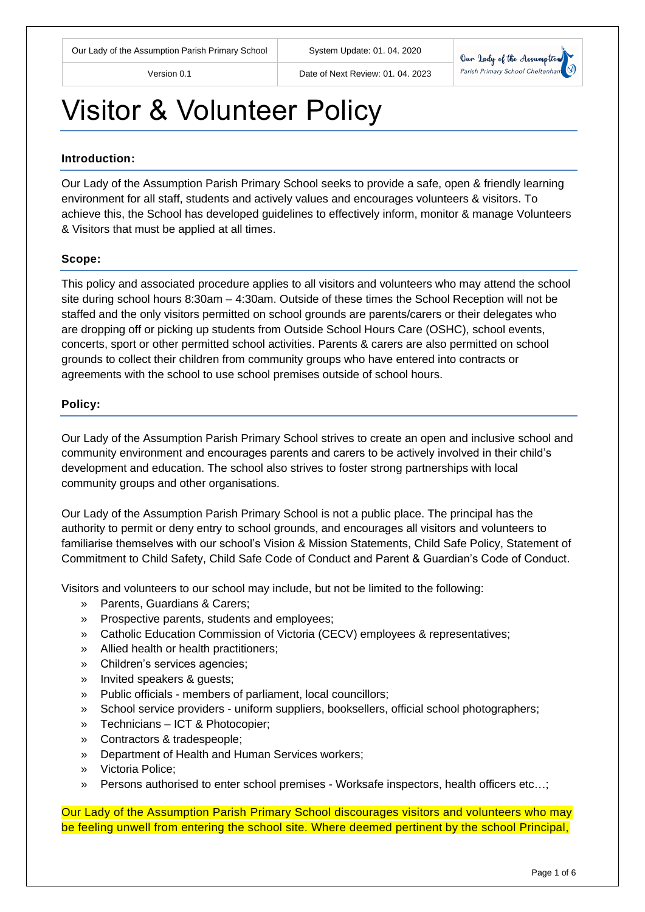Version 0.1 Date of Next Review: 01. 04. 2023



## Visitor & Volunteer Policy

#### **Introduction:**

Our Lady of the Assumption Parish Primary School seeks to provide a safe, open & friendly learning environment for all staff, students and actively values and encourages volunteers & visitors. To achieve this, the School has developed guidelines to effectively inform, monitor & manage Volunteers & Visitors that must be applied at all times.

#### **Scope:**

This policy and associated procedure applies to all visitors and volunteers who may attend the school site during school hours 8:30am – 4:30am. Outside of these times the School Reception will not be staffed and the only visitors permitted on school grounds are parents/carers or their delegates who are dropping off or picking up students from Outside School Hours Care (OSHC), school events, concerts, sport or other permitted school activities. Parents & carers are also permitted on school grounds to collect their children from community groups who have entered into contracts or agreements with the school to use school premises outside of school hours.

#### **Policy:**

Our Lady of the Assumption Parish Primary School strives to create an open and inclusive school and community environment and encourages parents and carers to be actively involved in their child's development and education. The school also strives to foster strong partnerships with local community groups and other organisations.

Our Lady of the Assumption Parish Primary School is not a public place. The principal has the authority to permit or deny entry to school grounds, and encourages all visitors and volunteers to familiarise themselves with our school's Vision & Mission Statements, Child Safe Policy, Statement of Commitment to Child Safety, Child Safe Code of Conduct and Parent & Guardian's Code of Conduct.

Visitors and volunteers to our school may include, but not be limited to the following:

- » Parents, Guardians & Carers;
- » Prospective parents, students and employees;
- » Catholic Education Commission of Victoria (CECV) employees & representatives;
- » Allied health or health practitioners;
- » Children's services agencies;
- » Invited speakers & guests;
- » Public officials members of parliament, local councillors;
- » School service providers uniform suppliers, booksellers, official school photographers;
- » Technicians ICT & Photocopier;
- » Contractors & tradespeople;
- » Department of Health and Human Services workers;
- » Victoria Police;
- » Persons authorised to enter school premises Worksafe inspectors, health officers etc…;

Our Lady of the Assumption Parish Primary School discourages visitors and volunteers who may be feeling unwell from entering the school site. Where deemed pertinent by the school Principal,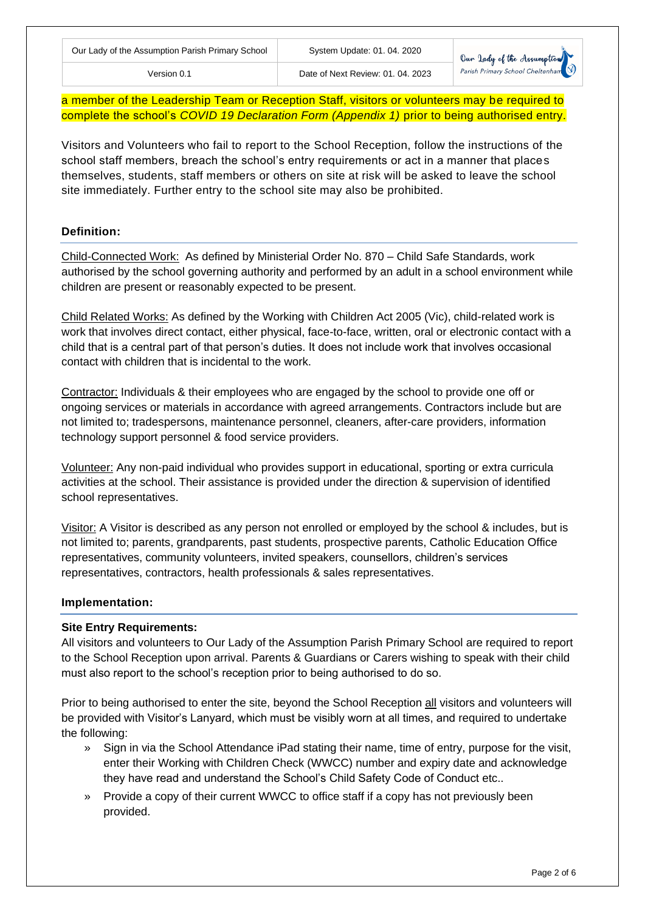Version 0.1 Date of Next Review: 01. 04. 2023

a member of the Leadership Team or Reception Staff, visitors or volunteers may be required to complete the school's *COVID 19 Declaration Form (Appendix 1)* prior to being authorised entry.

Visitors and Volunteers who fail to report to the School Reception, follow the instructions of the school staff members, breach the school's entry requirements or act in a manner that places themselves, students, staff members or others on site at risk will be asked to leave the school site immediately. Further entry to the school site may also be prohibited.

## **Definition:**

Child-Connected Work: As defined by Ministerial Order No. 870 – Child Safe Standards, work authorised by the school governing authority and performed by an adult in a school environment while children are present or reasonably expected to be present.

Child Related Works: As defined by the Working with Children Act 2005 (Vic), child-related work is work that involves direct contact, either physical, face-to-face, written, oral or electronic contact with a child that is a central part of that person's duties. It does not include work that involves occasional contact with children that is incidental to the work.

Contractor: Individuals & their employees who are engaged by the school to provide one off or ongoing services or materials in accordance with agreed arrangements. Contractors include but are not limited to; tradespersons, maintenance personnel, cleaners, after-care providers, information technology support personnel & food service providers.

Volunteer: Any non-paid individual who provides support in educational, sporting or extra curricula activities at the school. Their assistance is provided under the direction & supervision of identified school representatives.

Visitor: A Visitor is described as any person not enrolled or employed by the school & includes, but is not limited to; parents, grandparents, past students, prospective parents, Catholic Education Office representatives, community volunteers, invited speakers, counsellors, children's services representatives, contractors, health professionals & sales representatives.

## **Implementation:**

## **Site Entry Requirements:**

All visitors and volunteers to Our Lady of the Assumption Parish Primary School are required to report to the School Reception upon arrival. Parents & Guardians or Carers wishing to speak with their child must also report to the school's reception prior to being authorised to do so.

Prior to being authorised to enter the site, beyond the School Reception all visitors and volunteers will be provided with Visitor's Lanyard, which must be visibly worn at all times, and required to undertake the following:

- » Sign in via the School Attendance iPad stating their name, time of entry, purpose for the visit, enter their Working with Children Check (WWCC) number and expiry date and acknowledge they have read and understand the School's Child Safety Code of Conduct etc..
- » Provide a copy of their current WWCC to office staff if a copy has not previously been provided.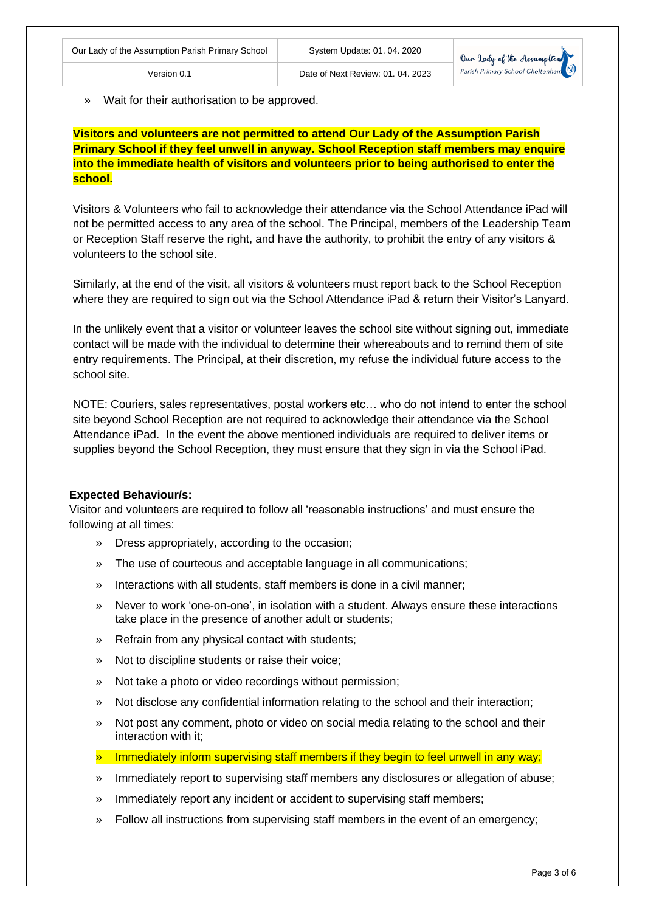» Wait for their authorisation to be approved.

**Visitors and volunteers are not permitted to attend Our Lady of the Assumption Parish Primary School if they feel unwell in anyway. School Reception staff members may enquire into the immediate health of visitors and volunteers prior to being authorised to enter the school.**

Visitors & Volunteers who fail to acknowledge their attendance via the School Attendance iPad will not be permitted access to any area of the school. The Principal, members of the Leadership Team or Reception Staff reserve the right, and have the authority, to prohibit the entry of any visitors & volunteers to the school site.

Similarly, at the end of the visit, all visitors & volunteers must report back to the School Reception where they are required to sign out via the School Attendance iPad & return their Visitor's Lanyard.

In the unlikely event that a visitor or volunteer leaves the school site without signing out, immediate contact will be made with the individual to determine their whereabouts and to remind them of site entry requirements. The Principal, at their discretion, my refuse the individual future access to the school site.

NOTE: Couriers, sales representatives, postal workers etc… who do not intend to enter the school site beyond School Reception are not required to acknowledge their attendance via the School Attendance iPad. In the event the above mentioned individuals are required to deliver items or supplies beyond the School Reception, they must ensure that they sign in via the School iPad.

#### **Expected Behaviour/s:**

Visitor and volunteers are required to follow all 'reasonable instructions' and must ensure the following at all times:

- » Dress appropriately, according to the occasion;
- » The use of courteous and acceptable language in all communications;
- » Interactions with all students, staff members is done in a civil manner;
- » Never to work 'one-on-one', in isolation with a student. Always ensure these interactions take place in the presence of another adult or students;
- » Refrain from any physical contact with students;
- » Not to discipline students or raise their voice;
- » Not take a photo or video recordings without permission;
- » Not disclose any confidential information relating to the school and their interaction;
- » Not post any comment, photo or video on social media relating to the school and their interaction with it;
- » Immediately inform supervising staff members if they begin to feel unwell in any way;
- » Immediately report to supervising staff members any disclosures or allegation of abuse;
- » Immediately report any incident or accident to supervising staff members;
- » Follow all instructions from supervising staff members in the event of an emergency;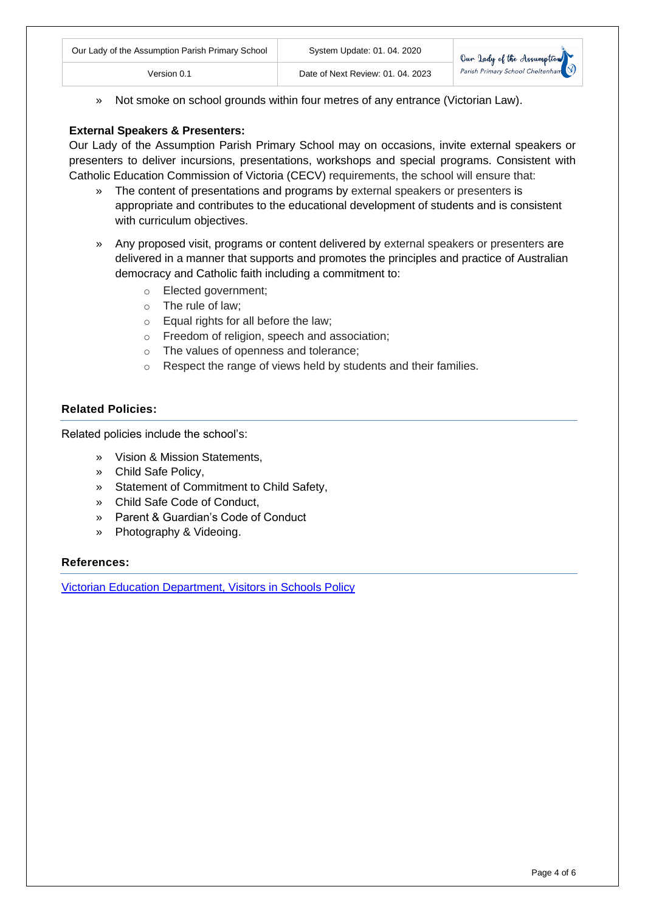| Our Lady of the Assumption Parish Primary School | System Update: 01. 04. 2020       |                            |
|--------------------------------------------------|-----------------------------------|----------------------------|
| √ersion 0.1                                      | Date of Next Review: 01, 04, 2023 | Our lady of the Assumption |

» Not smoke on school grounds within four metres of any entrance (Victorian Law).

## **External Speakers & Presenters:**

Our Lady of the Assumption Parish Primary School may on occasions, invite external speakers or presenters to deliver incursions, presentations, workshops and special programs. Consistent with Catholic Education Commission of Victoria (CECV) requirements, the school will ensure that:

- » The content of presentations and programs by external speakers or presenters is appropriate and contributes to the educational development of students and is consistent with curriculum objectives.
- » Any proposed visit, programs or content delivered by external speakers or presenters are delivered in a manner that supports and promotes the principles and practice of Australian democracy and Catholic faith including a commitment to:
	- o Elected government;
	- o The rule of law;
	- o Equal rights for all before the law;
	- o Freedom of religion, speech and association;
	- o The values of openness and tolerance;
	- o Respect the range of views held by students and their families.

## **Related Policies:**

Related policies include the school's:

- » Vision & Mission Statements,
- » Child Safe Policy,
- » Statement of Commitment to Child Safety,
- » Child Safe Code of Conduct,
- » Parent & Guardian's Code of Conduct
- » Photography & Videoing.

#### **References:**

[Victorian Education Department, Visitors in Schools Policy](https://www.education.vic.gov.au/school/principals/spag/safety/Pages/visitorsinschool.aspx)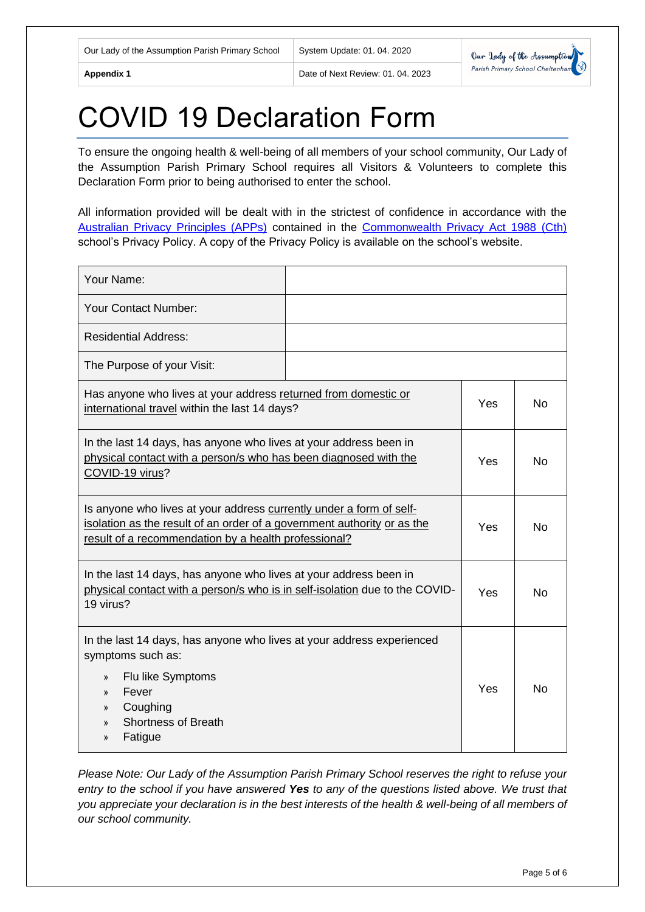**Appendix 1** Date of Next Review: 01. 04. 2023



# COVID 19 Declaration Form

To ensure the ongoing health & well-being of all members of your school community, Our Lady of the Assumption Parish Primary School requires all Visitors & Volunteers to complete this Declaration Form prior to being authorised to enter the school.

All information provided will be dealt with in the strictest of confidence in accordance with the [Australian Privacy Principles \(APPs\)](https://www.oaic.gov.au/privacy-law/privacy-act/australian-privacy-principles) contained in the [Commonwealth Privacy Act 1988 \(Cth\)](http://www8.austlii.edu.au/cgi-bin/viewdb/au/legis/cth/consol_act/pa1988108/) school's Privacy Policy. A copy of the Privacy Policy is available on the school's website.

| Your Name:                                                                                                                                                                                                                                                     |  |     |           |
|----------------------------------------------------------------------------------------------------------------------------------------------------------------------------------------------------------------------------------------------------------------|--|-----|-----------|
| <b>Your Contact Number:</b>                                                                                                                                                                                                                                    |  |     |           |
| <b>Residential Address:</b>                                                                                                                                                                                                                                    |  |     |           |
| The Purpose of your Visit:                                                                                                                                                                                                                                     |  |     |           |
| Has anyone who lives at your address returned from domestic or<br>international travel within the last 14 days?                                                                                                                                                |  | Yes | No        |
| In the last 14 days, has anyone who lives at your address been in<br>physical contact with a person/s who has been diagnosed with the<br>COVID-19 virus?                                                                                                       |  | Yes | No        |
| Is anyone who lives at your address currently under a form of self-<br>isolation as the result of an order of a government authority or as the<br>result of a recommendation by a health professional?                                                         |  | Yes | <b>No</b> |
| In the last 14 days, has anyone who lives at your address been in<br>physical contact with a person/s who is in self-isolation due to the COVID-<br>19 virus?                                                                                                  |  | Yes | <b>No</b> |
| In the last 14 days, has anyone who lives at your address experienced<br>symptoms such as:<br>Flu like Symptoms<br>$\mathcal{Y}$<br>Fever<br>$\mathcal{Y}$<br>Coughing<br>$\rangle$<br><b>Shortness of Breath</b><br>$\mathcal{Y}$<br>Fatigue<br>$\mathcal{V}$ |  | Yes | No        |

*Please Note: Our Lady of the Assumption Parish Primary School reserves the right to refuse your entry to the school if you have answered Yes to any of the questions listed above. We trust that you appreciate your declaration is in the best interests of the health & well-being of all members of our school community.*